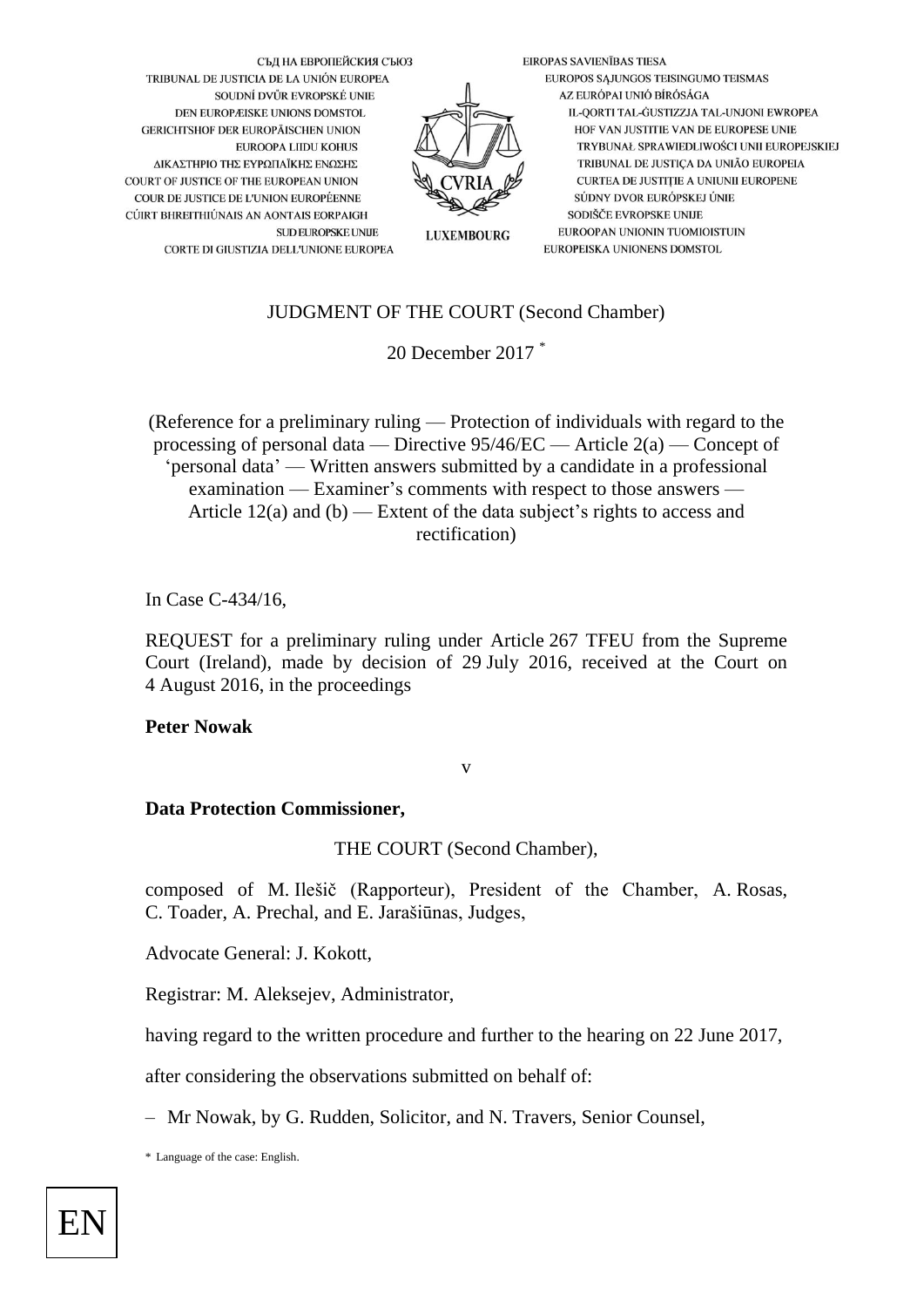

# JUDGMENT OF THE COURT (Second Chamber)

20 December 2017 \*

(Reference for a preliminary ruling — Protection of individuals with regard to the processing of personal data — Directive 95/46/EC — Article 2(a) — Concept of 'personal data' — Written answers submitted by a candidate in a professional examination — Examiner's comments with respect to those answers — Article  $12(a)$  and  $(b)$  — Extent of the data subject's rights to access and rectification)

In Case C-434/16,

REQUEST for a preliminary ruling under Article 267 TFEU from the Supreme Court (Ireland), made by decision of 29 July 2016, received at the Court on 4 August 2016, in the proceedings

#### **Peter Nowak**

v

### **Data Protection Commissioner,**

THE COURT (Second Chamber),

composed of M. Ilešič (Rapporteur), President of the Chamber, A. Rosas, C. Toader, A. Prechal, and E. Jarašiūnas, Judges,

Advocate General: J. Kokott,

Registrar: M. Aleksejev, Administrator,

having regard to the written procedure and further to the hearing on 22 June 2017,

after considering the observations submitted on behalf of:

– Mr Nowak, by G. Rudden, Solicitor, and N. Travers, Senior Counsel,

\* Language of the case: English.

EN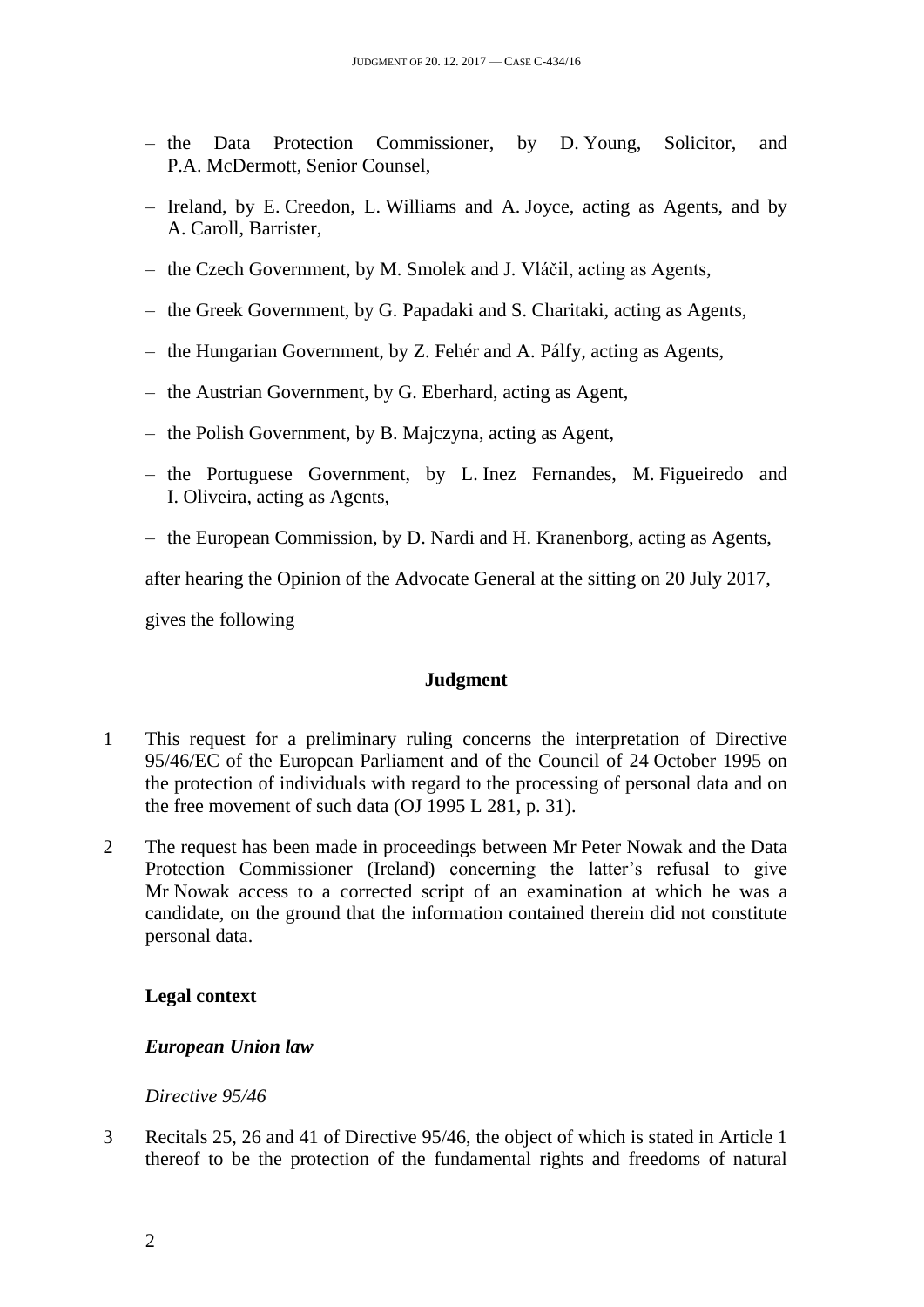- the Data Protection Commissioner, by D. Young, Solicitor, and P.A. McDermott, Senior Counsel,
- Ireland, by E. Creedon, L. Williams and A. Joyce, acting as Agents, and by A. Caroll, Barrister,
- the Czech Government, by M. Smolek and J. Vláčil, acting as Agents,
- the Greek Government, by G. Papadaki and S. Charitaki, acting as Agents,
- the Hungarian Government, by Z. Fehér and A. Pálfy, acting as Agents,
- the Austrian Government, by G. Eberhard, acting as Agent,
- the Polish Government, by B. Majczyna, acting as Agent,
- the Portuguese Government, by L. Inez Fernandes, M. Figueiredo and I. Oliveira, acting as Agents,
- the European Commission, by D. Nardi and H. Kranenborg, acting as Agents,

after hearing the Opinion of the Advocate General at the sitting on 20 July 2017,

gives the following

# **Judgment**

- 1 This request for a preliminary ruling concerns the interpretation of Directive 95/46/EC of the European Parliament and of the Council of 24 October 1995 on the protection of individuals with regard to the processing of personal data and on the free movement of such data (OJ 1995 L 281, p. 31).
- 2 The request has been made in proceedings between Mr Peter Nowak and the Data Protection Commissioner (Ireland) concerning the latter's refusal to give Mr Nowak access to a corrected script of an examination at which he was a candidate, on the ground that the information contained therein did not constitute personal data.

# **Legal context**

### *European Union law*

### *Directive 95/46*

3 Recitals 25, 26 and 41 of Directive 95/46, the object of which is stated in Article 1 thereof to be the protection of the fundamental rights and freedoms of natural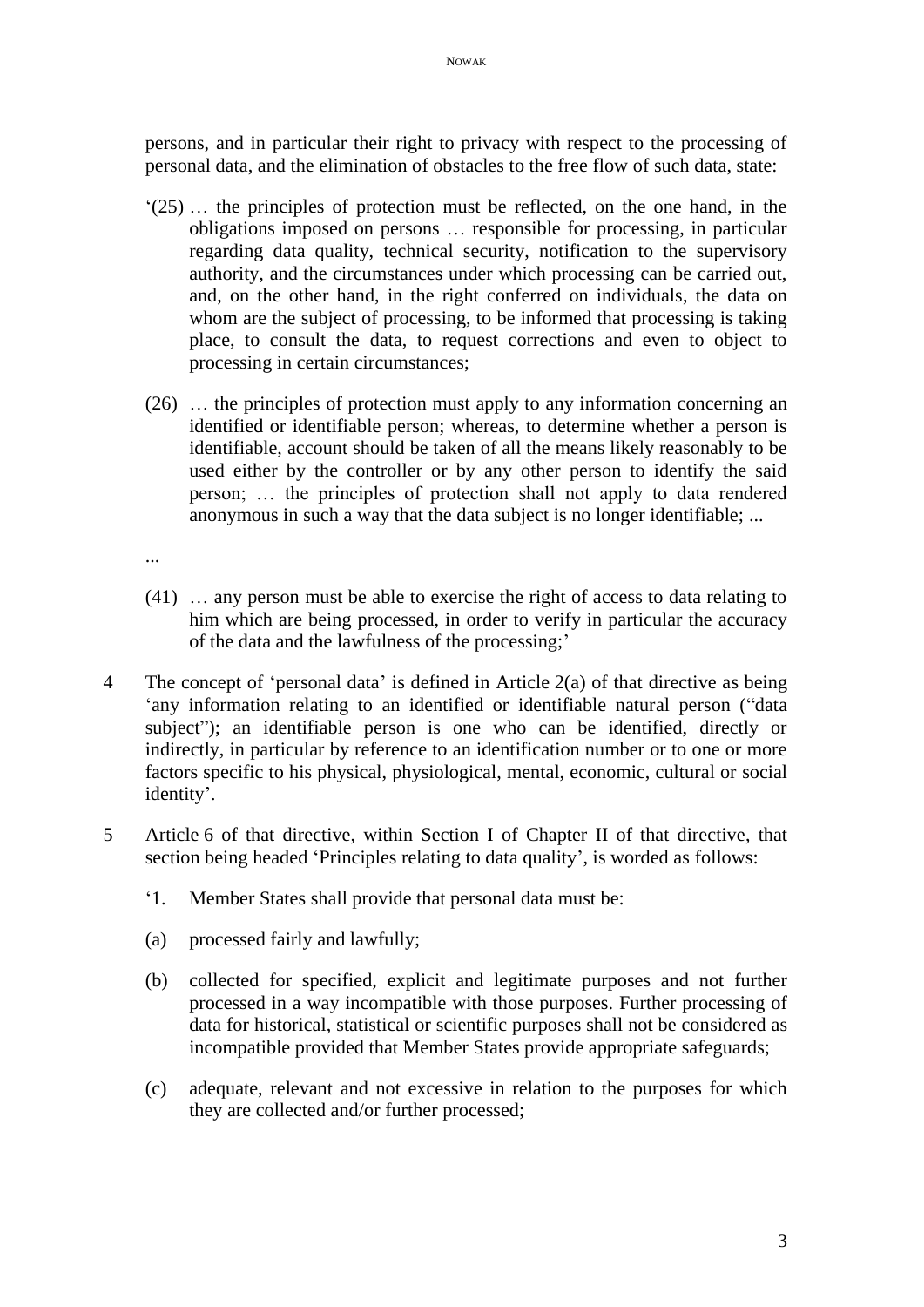persons, and in particular their right to privacy with respect to the processing of personal data, and the elimination of obstacles to the free flow of such data, state:

- '(25) … the principles of protection must be reflected, on the one hand, in the obligations imposed on persons … responsible for processing, in particular regarding data quality, technical security, notification to the supervisory authority, and the circumstances under which processing can be carried out, and, on the other hand, in the right conferred on individuals, the data on whom are the subject of processing, to be informed that processing is taking place, to consult the data, to request corrections and even to object to processing in certain circumstances;
- (26) … the principles of protection must apply to any information concerning an identified or identifiable person; whereas, to determine whether a person is identifiable, account should be taken of all the means likely reasonably to be used either by the controller or by any other person to identify the said person; … the principles of protection shall not apply to data rendered anonymous in such a way that the data subject is no longer identifiable; ...
- ...
- (41) … any person must be able to exercise the right of access to data relating to him which are being processed, in order to verify in particular the accuracy of the data and the lawfulness of the processing;'
- 4 The concept of 'personal data' is defined in Article 2(a) of that directive as being 'any information relating to an identified or identifiable natural person ("data subject"); an identifiable person is one who can be identified, directly or indirectly, in particular by reference to an identification number or to one or more factors specific to his physical, physiological, mental, economic, cultural or social identity'.
- 5 Article 6 of that directive, within Section I of Chapter II of that directive, that section being headed 'Principles relating to data quality', is worded as follows:
	- '1. Member States shall provide that personal data must be:
	- (a) processed fairly and lawfully;
	- (b) collected for specified, explicit and legitimate purposes and not further processed in a way incompatible with those purposes. Further processing of data for historical, statistical or scientific purposes shall not be considered as incompatible provided that Member States provide appropriate safeguards;
	- (c) adequate, relevant and not excessive in relation to the purposes for which they are collected and/or further processed;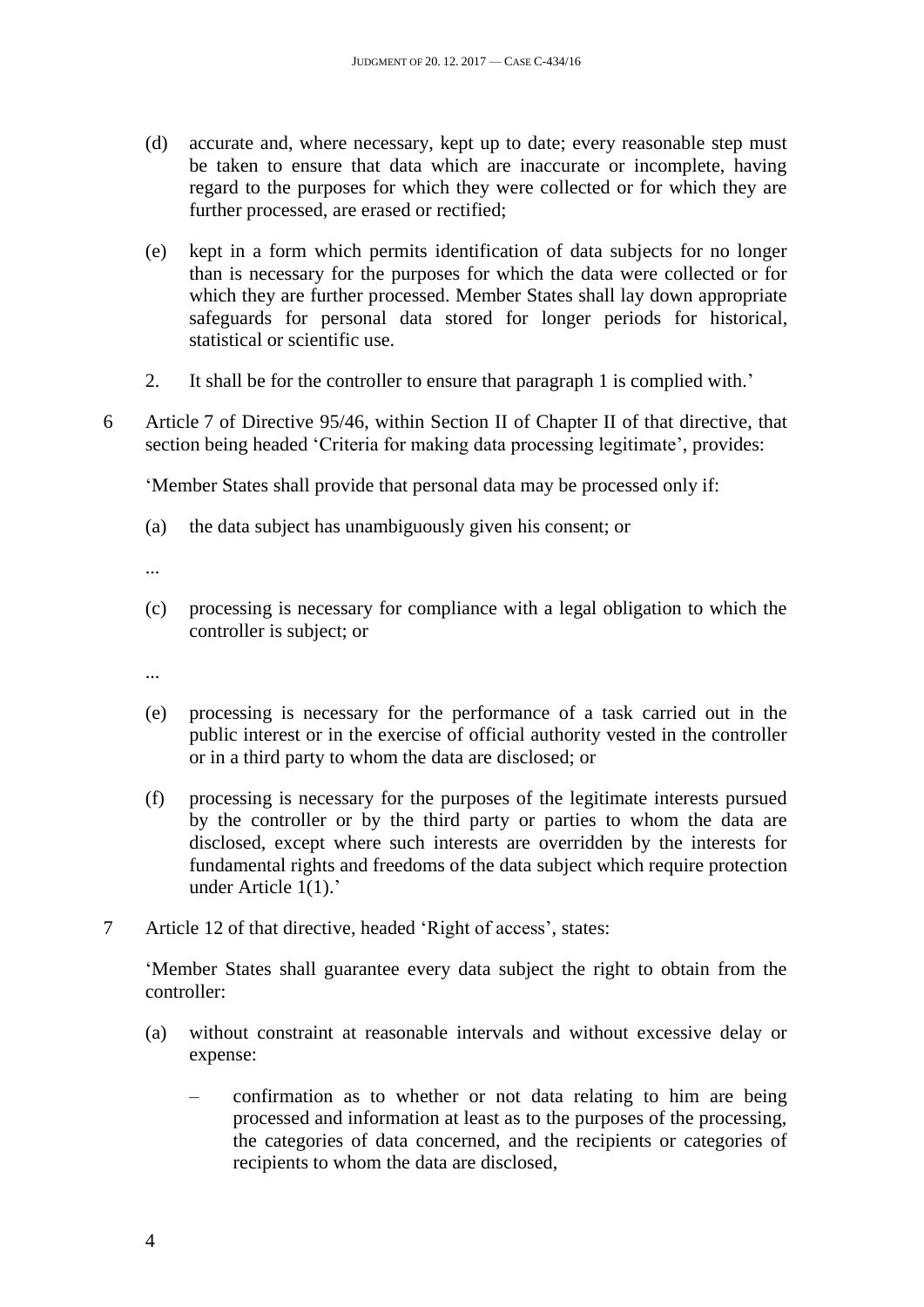- (d) accurate and, where necessary, kept up to date; every reasonable step must be taken to ensure that data which are inaccurate or incomplete, having regard to the purposes for which they were collected or for which they are further processed, are erased or rectified;
- (e) kept in a form which permits identification of data subjects for no longer than is necessary for the purposes for which the data were collected or for which they are further processed. Member States shall lay down appropriate safeguards for personal data stored for longer periods for historical, statistical or scientific use.
- 2. It shall be for the controller to ensure that paragraph 1 is complied with.'
- 6 Article 7 of Directive 95/46, within Section II of Chapter II of that directive, that section being headed 'Criteria for making data processing legitimate', provides:

'Member States shall provide that personal data may be processed only if:

- (a) the data subject has unambiguously given his consent; or
- ...
- (c) processing is necessary for compliance with a legal obligation to which the controller is subject; or
- ...
- (e) processing is necessary for the performance of a task carried out in the public interest or in the exercise of official authority vested in the controller or in a third party to whom the data are disclosed; or
- (f) processing is necessary for the purposes of the legitimate interests pursued by the controller or by the third party or parties to whom the data are disclosed, except where such interests are overridden by the interests for fundamental rights and freedoms of the data subject which require protection under Article 1(1).'
- 7 Article 12 of that directive, headed 'Right of access', states:

'Member States shall guarantee every data subject the right to obtain from the controller:

- (a) without constraint at reasonable intervals and without excessive delay or expense:
	- confirmation as to whether or not data relating to him are being processed and information at least as to the purposes of the processing, the categories of data concerned, and the recipients or categories of recipients to whom the data are disclosed,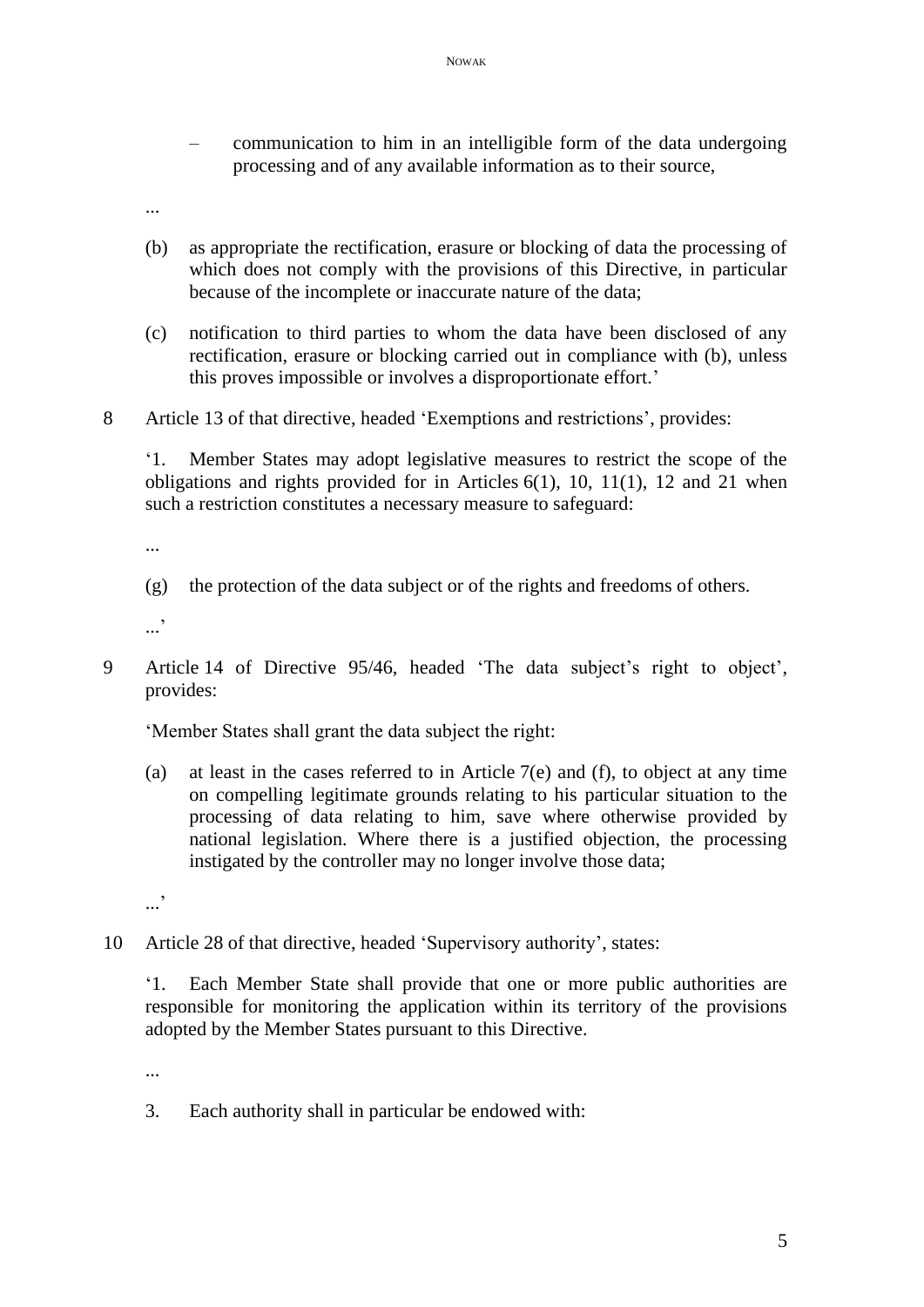- communication to him in an intelligible form of the data undergoing processing and of any available information as to their source,
- ...
- (b) as appropriate the rectification, erasure or blocking of data the processing of which does not comply with the provisions of this Directive, in particular because of the incomplete or inaccurate nature of the data;
- (c) notification to third parties to whom the data have been disclosed of any rectification, erasure or blocking carried out in compliance with (b), unless this proves impossible or involves a disproportionate effort.'
- 8 Article 13 of that directive, headed 'Exemptions and restrictions', provides:

'1. Member States may adopt legislative measures to restrict the scope of the obligations and rights provided for in Articles 6(1), 10, 11(1), 12 and 21 when such a restriction constitutes a necessary measure to safeguard:

...

(g) the protection of the data subject or of the rights and freedoms of others.

...<sup>,</sup>

9 Article 14 of Directive 95/46, headed 'The data subject's right to object', provides:

'Member States shall grant the data subject the right:

(a) at least in the cases referred to in Article 7(e) and (f), to object at any time on compelling legitimate grounds relating to his particular situation to the processing of data relating to him, save where otherwise provided by national legislation. Where there is a justified objection, the processing instigated by the controller may no longer involve those data;

...'

10 Article 28 of that directive, headed 'Supervisory authority', states:

'1. Each Member State shall provide that one or more public authorities are responsible for monitoring the application within its territory of the provisions adopted by the Member States pursuant to this Directive.

...

3. Each authority shall in particular be endowed with: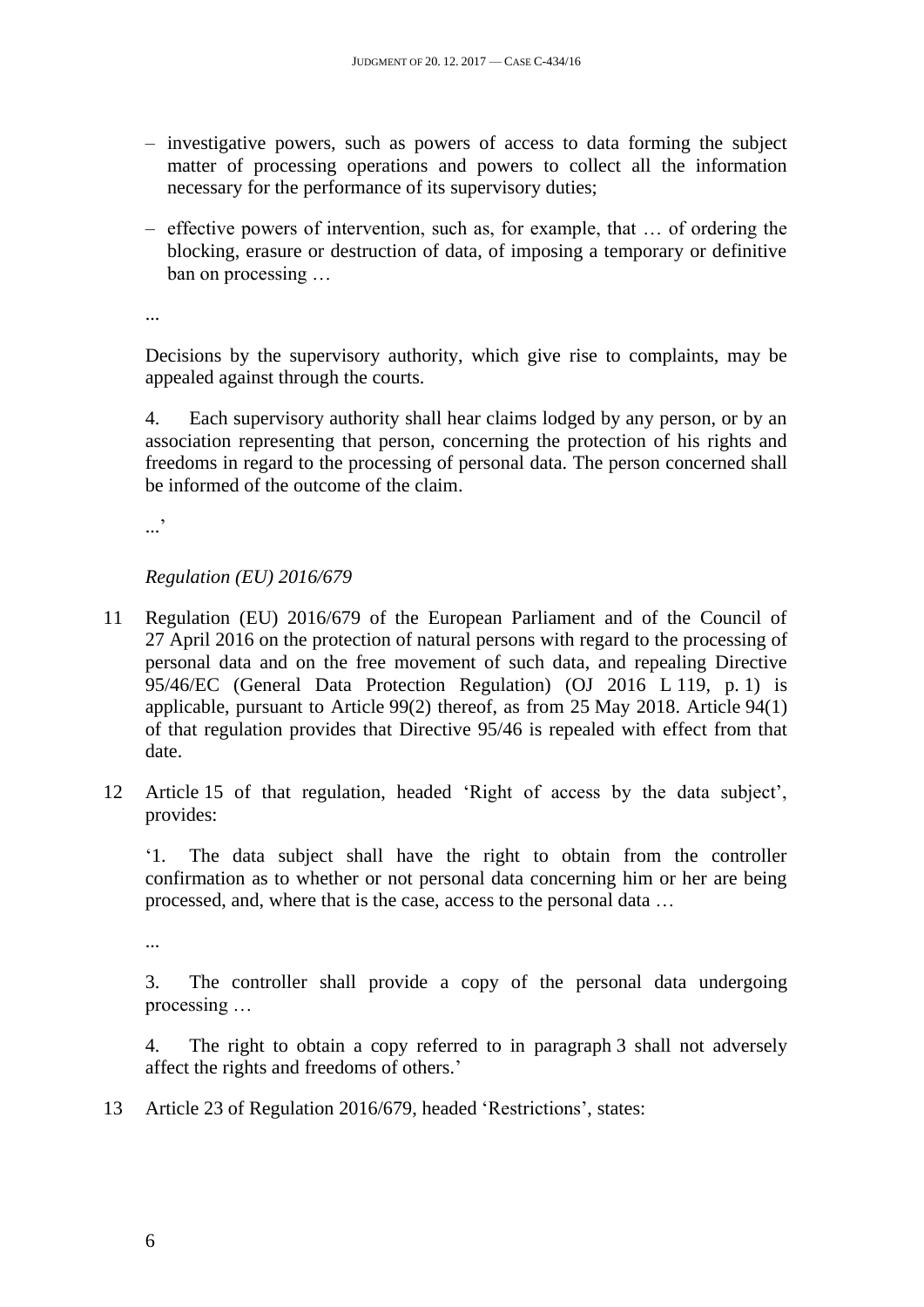- investigative powers, such as powers of access to data forming the subject matter of processing operations and powers to collect all the information necessary for the performance of its supervisory duties;
- effective powers of intervention, such as, for example, that … of ordering the blocking, erasure or destruction of data, of imposing a temporary or definitive ban on processing …

...

Decisions by the supervisory authority, which give rise to complaints, may be appealed against through the courts.

4. Each supervisory authority shall hear claims lodged by any person, or by an association representing that person, concerning the protection of his rights and freedoms in regard to the processing of personal data. The person concerned shall be informed of the outcome of the claim.

.<br>...

# *Regulation (EU) 2016/679*

- 11 Regulation (EU) 2016/679 of the European Parliament and of the Council of 27 April 2016 on the protection of natural persons with regard to the processing of personal data and on the free movement of such data, and repealing Directive 95/46/EC (General Data Protection Regulation) (OJ 2016 L 119, p. 1) is applicable, pursuant to Article 99(2) thereof, as from 25 May 2018. Article 94(1) of that regulation provides that Directive 95/46 is repealed with effect from that date.
- 12 Article 15 of that regulation, headed 'Right of access by the data subject', provides:

'1. The data subject shall have the right to obtain from the controller confirmation as to whether or not personal data concerning him or her are being processed, and, where that is the case, access to the personal data …

...

3. The controller shall provide a copy of the personal data undergoing processing …

4. The right to obtain a copy referred to in paragraph 3 shall not adversely affect the rights and freedoms of others.'

13 Article 23 of Regulation 2016/679, headed 'Restrictions', states: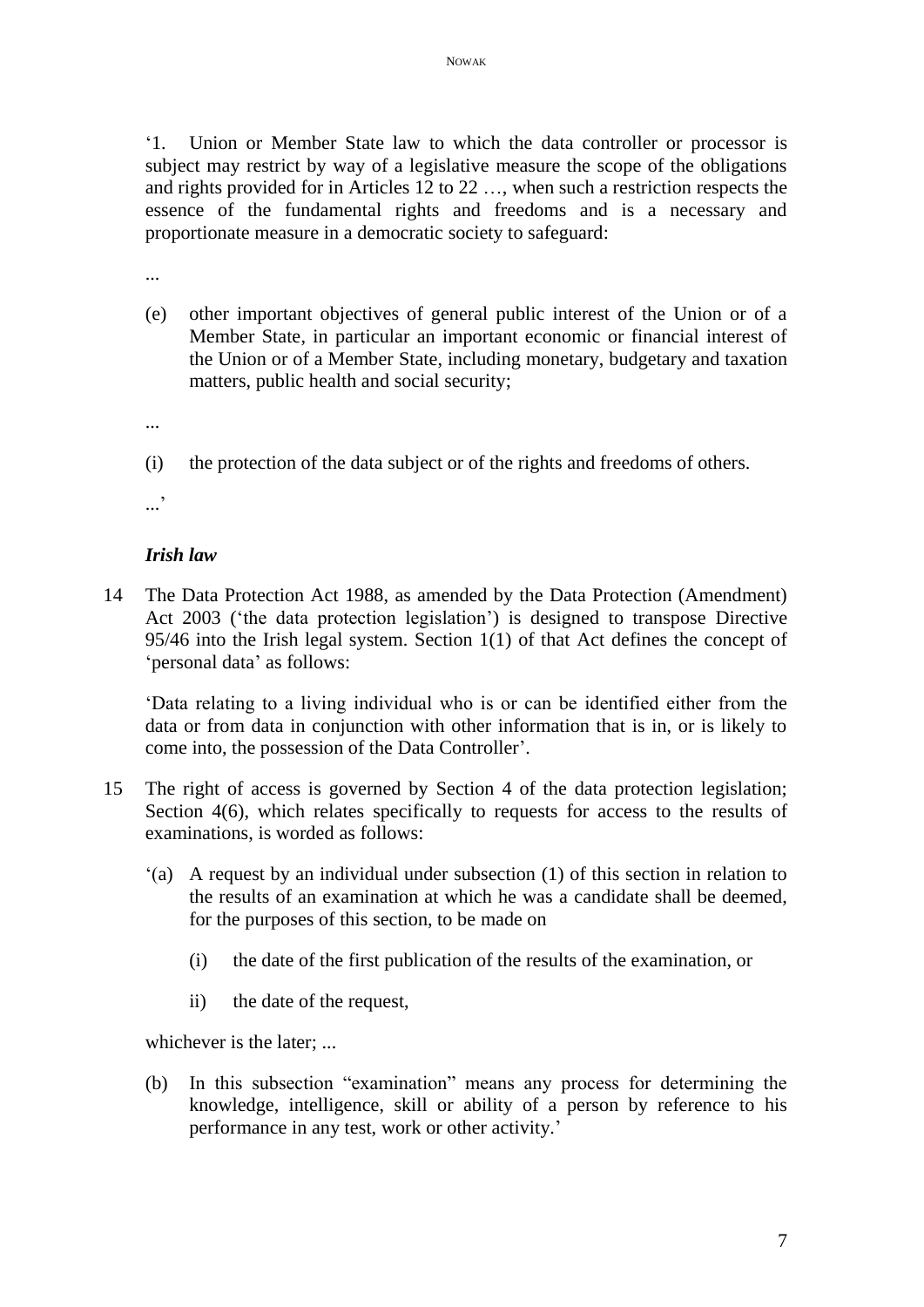'1. Union or Member State law to which the data controller or processor is subject may restrict by way of a legislative measure the scope of the obligations and rights provided for in Articles 12 to 22 …, when such a restriction respects the essence of the fundamental rights and freedoms and is a necessary and proportionate measure in a democratic society to safeguard:

...

- (e) other important objectives of general public interest of the Union or of a Member State, in particular an important economic or financial interest of the Union or of a Member State, including monetary, budgetary and taxation matters, public health and social security;
- ...
- (i) the protection of the data subject or of the rights and freedoms of others.

...<sup>'</sup>

#### *Irish law*

14 The Data Protection Act 1988, as amended by the Data Protection (Amendment) Act 2003 ('the data protection legislation') is designed to transpose Directive 95/46 into the Irish legal system. Section 1(1) of that Act defines the concept of 'personal data' as follows:

'Data relating to a living individual who is or can be identified either from the data or from data in conjunction with other information that is in, or is likely to come into, the possession of the Data Controller'.

- 15 The right of access is governed by Section 4 of the data protection legislation; Section 4(6), which relates specifically to requests for access to the results of examinations, is worded as follows:
	- '(a) A request by an individual under subsection (1) of this section in relation to the results of an examination at which he was a candidate shall be deemed, for the purposes of this section, to be made on
		- (i) the date of the first publication of the results of the examination, or
		- ii) the date of the request,

whichever is the later; ...

(b) In this subsection "examination" means any process for determining the knowledge, intelligence, skill or ability of a person by reference to his performance in any test, work or other activity.'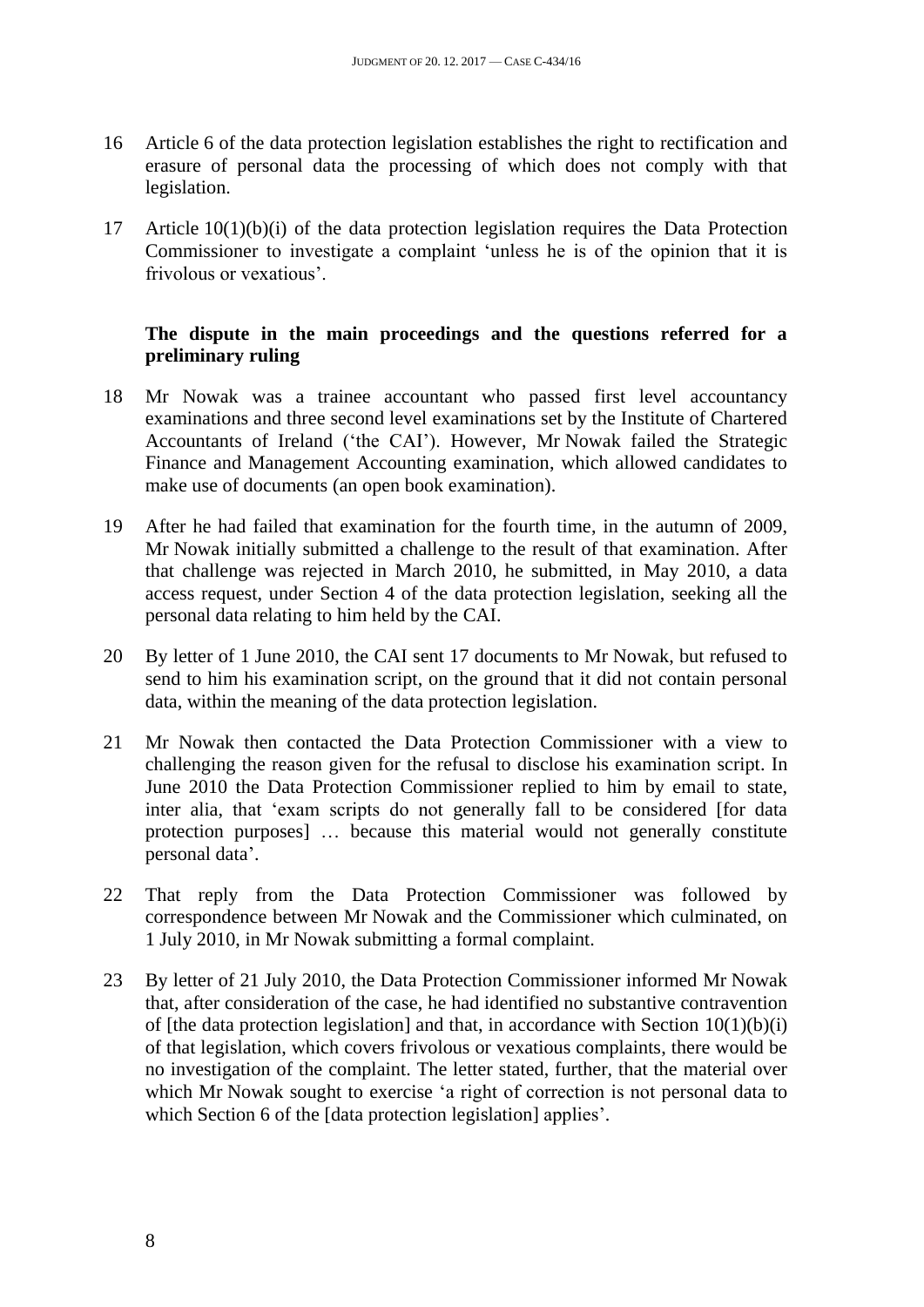- 16 Article 6 of the data protection legislation establishes the right to rectification and erasure of personal data the processing of which does not comply with that legislation.
- 17 Article 10(1)(b)(i) of the data protection legislation requires the Data Protection Commissioner to investigate a complaint 'unless he is of the opinion that it is frivolous or vexatious'.

# **The dispute in the main proceedings and the questions referred for a preliminary ruling**

- 18 Mr Nowak was a trainee accountant who passed first level accountancy examinations and three second level examinations set by the Institute of Chartered Accountants of Ireland ('the CAI'). However, Mr Nowak failed the Strategic Finance and Management Accounting examination, which allowed candidates to make use of documents (an open book examination).
- 19 After he had failed that examination for the fourth time, in the autumn of 2009, Mr Nowak initially submitted a challenge to the result of that examination. After that challenge was rejected in March 2010, he submitted, in May 2010, a data access request, under Section 4 of the data protection legislation, seeking all the personal data relating to him held by the CAI.
- 20 By letter of 1 June 2010, the CAI sent 17 documents to Mr Nowak, but refused to send to him his examination script, on the ground that it did not contain personal data, within the meaning of the data protection legislation.
- 21 Mr Nowak then contacted the Data Protection Commissioner with a view to challenging the reason given for the refusal to disclose his examination script. In June 2010 the Data Protection Commissioner replied to him by email to state, inter alia, that 'exam scripts do not generally fall to be considered [for data protection purposes] … because this material would not generally constitute personal data'.
- 22 That reply from the Data Protection Commissioner was followed by correspondence between Mr Nowak and the Commissioner which culminated, on 1 July 2010, in Mr Nowak submitting a formal complaint.
- 23 By letter of 21 July 2010, the Data Protection Commissioner informed Mr Nowak that, after consideration of the case, he had identified no substantive contravention of [the data protection legislation] and that, in accordance with Section  $10(1)(b)(i)$ of that legislation, which covers frivolous or vexatious complaints, there would be no investigation of the complaint. The letter stated, further, that the material over which Mr Nowak sought to exercise 'a right of correction is not personal data to which Section 6 of the *[data protection legislation]* applies'.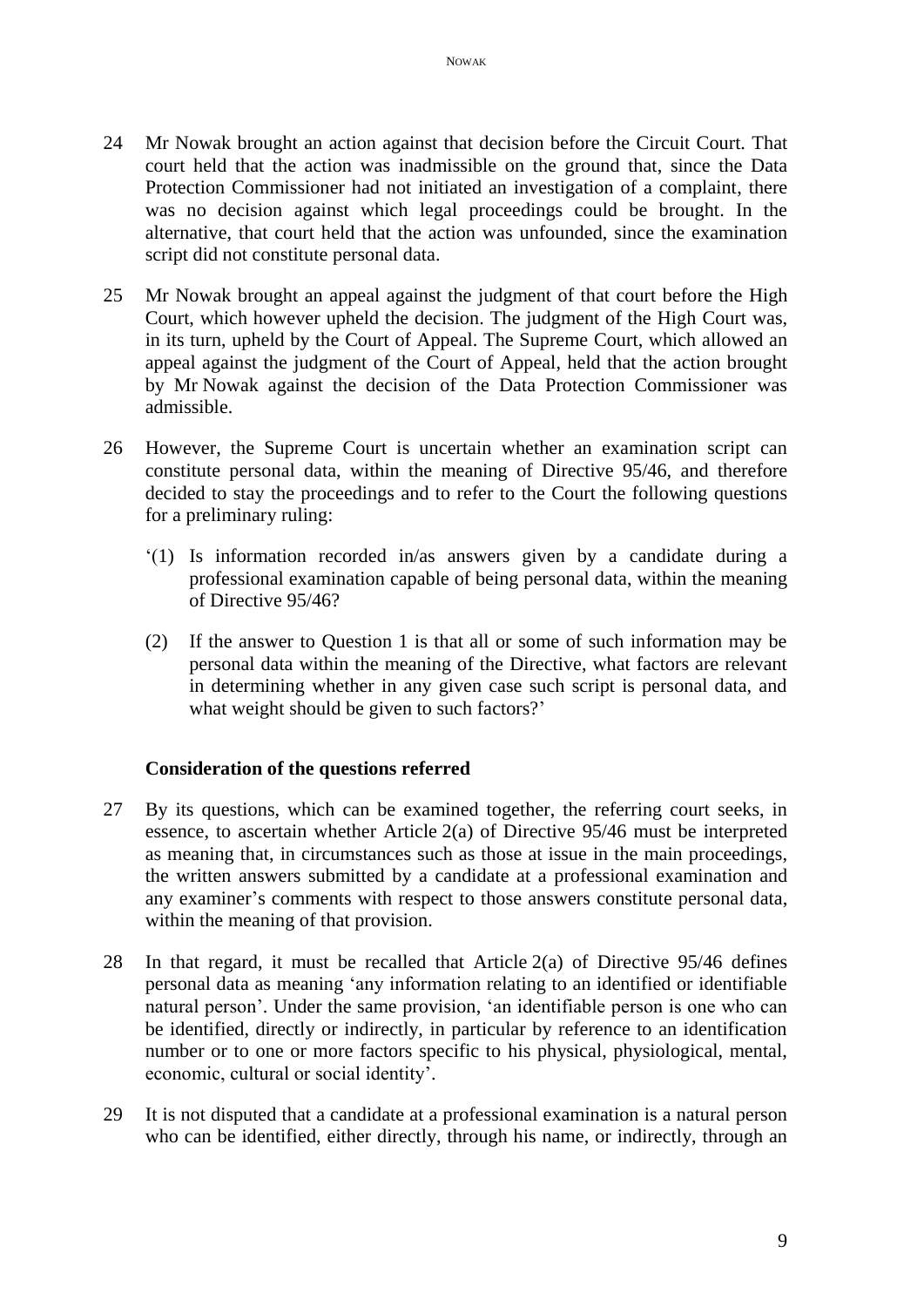- 24 Mr Nowak brought an action against that decision before the Circuit Court. That court held that the action was inadmissible on the ground that, since the Data Protection Commissioner had not initiated an investigation of a complaint, there was no decision against which legal proceedings could be brought. In the alternative, that court held that the action was unfounded, since the examination script did not constitute personal data.
- 25 Mr Nowak brought an appeal against the judgment of that court before the High Court, which however upheld the decision. The judgment of the High Court was, in its turn, upheld by the Court of Appeal. The Supreme Court, which allowed an appeal against the judgment of the Court of Appeal, held that the action brought by Mr Nowak against the decision of the Data Protection Commissioner was admissible.
- 26 However, the Supreme Court is uncertain whether an examination script can constitute personal data, within the meaning of Directive 95/46, and therefore decided to stay the proceedings and to refer to the Court the following questions for a preliminary ruling:
	- '(1) Is information recorded in/as answers given by a candidate during a professional examination capable of being personal data, within the meaning of Directive 95/46?
	- (2) If the answer to Question 1 is that all or some of such information may be personal data within the meaning of the Directive, what factors are relevant in determining whether in any given case such script is personal data, and what weight should be given to such factors?'

### **Consideration of the questions referred**

- 27 By its questions, which can be examined together, the referring court seeks, in essence, to ascertain whether Article 2(a) of Directive 95/46 must be interpreted as meaning that, in circumstances such as those at issue in the main proceedings, the written answers submitted by a candidate at a professional examination and any examiner's comments with respect to those answers constitute personal data, within the meaning of that provision.
- 28 In that regard, it must be recalled that Article 2(a) of Directive 95/46 defines personal data as meaning 'any information relating to an identified or identifiable natural person'. Under the same provision, 'an identifiable person is one who can be identified, directly or indirectly, in particular by reference to an identification number or to one or more factors specific to his physical, physiological, mental, economic, cultural or social identity'.
- 29 It is not disputed that a candidate at a professional examination is a natural person who can be identified, either directly, through his name, or indirectly, through an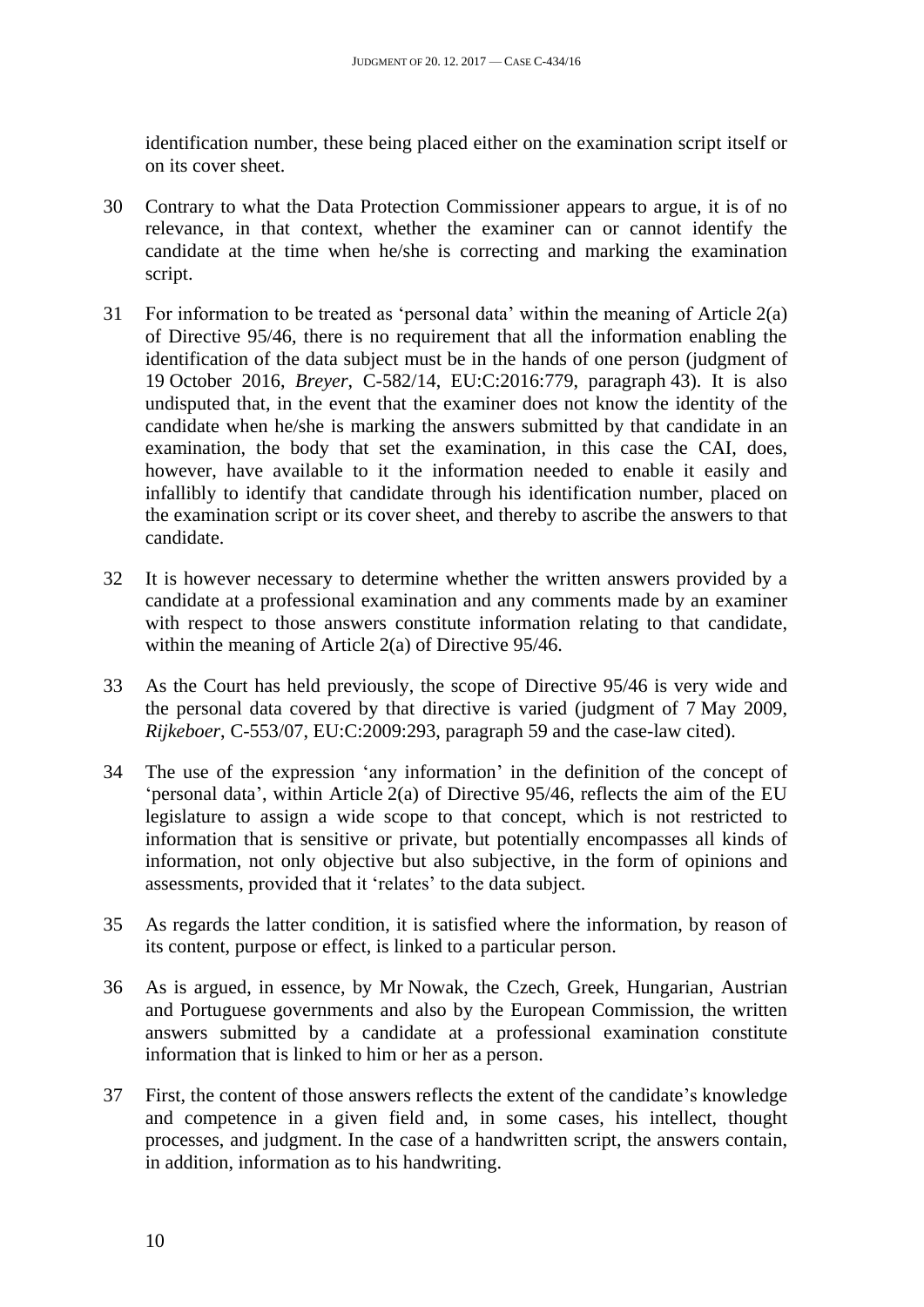identification number, these being placed either on the examination script itself or on its cover sheet.

- 30 Contrary to what the Data Protection Commissioner appears to argue, it is of no relevance, in that context, whether the examiner can or cannot identify the candidate at the time when he/she is correcting and marking the examination script.
- 31 For information to be treated as 'personal data' within the meaning of Article 2(a) of Directive 95/46, there is no requirement that all the information enabling the identification of the data subject must be in the hands of one person (judgment of 19 October 2016, *Breyer*, C-582/14, EU:C:2016:779, paragraph 43). It is also undisputed that, in the event that the examiner does not know the identity of the candidate when he/she is marking the answers submitted by that candidate in an examination, the body that set the examination, in this case the CAI, does, however, have available to it the information needed to enable it easily and infallibly to identify that candidate through his identification number, placed on the examination script or its cover sheet, and thereby to ascribe the answers to that candidate.
- 32 It is however necessary to determine whether the written answers provided by a candidate at a professional examination and any comments made by an examiner with respect to those answers constitute information relating to that candidate, within the meaning of Article 2(a) of Directive 95/46.
- 33 As the Court has held previously, the scope of Directive 95/46 is very wide and the personal data covered by that directive is varied (judgment of 7 May 2009, *Rijkeboer*, C-553/07, EU:C:2009:293, paragraph 59 and the case-law cited).
- 34 The use of the expression 'any information' in the definition of the concept of 'personal data', within Article 2(a) of Directive 95/46, reflects the aim of the EU legislature to assign a wide scope to that concept, which is not restricted to information that is sensitive or private, but potentially encompasses all kinds of information, not only objective but also subjective, in the form of opinions and assessments, provided that it 'relates' to the data subject.
- 35 As regards the latter condition, it is satisfied where the information, by reason of its content, purpose or effect, is linked to a particular person.
- 36 As is argued, in essence, by Mr Nowak, the Czech, Greek, Hungarian, Austrian and Portuguese governments and also by the European Commission, the written answers submitted by a candidate at a professional examination constitute information that is linked to him or her as a person.
- 37 First, the content of those answers reflects the extent of the candidate's knowledge and competence in a given field and, in some cases, his intellect, thought processes, and judgment. In the case of a handwritten script, the answers contain, in addition, information as to his handwriting.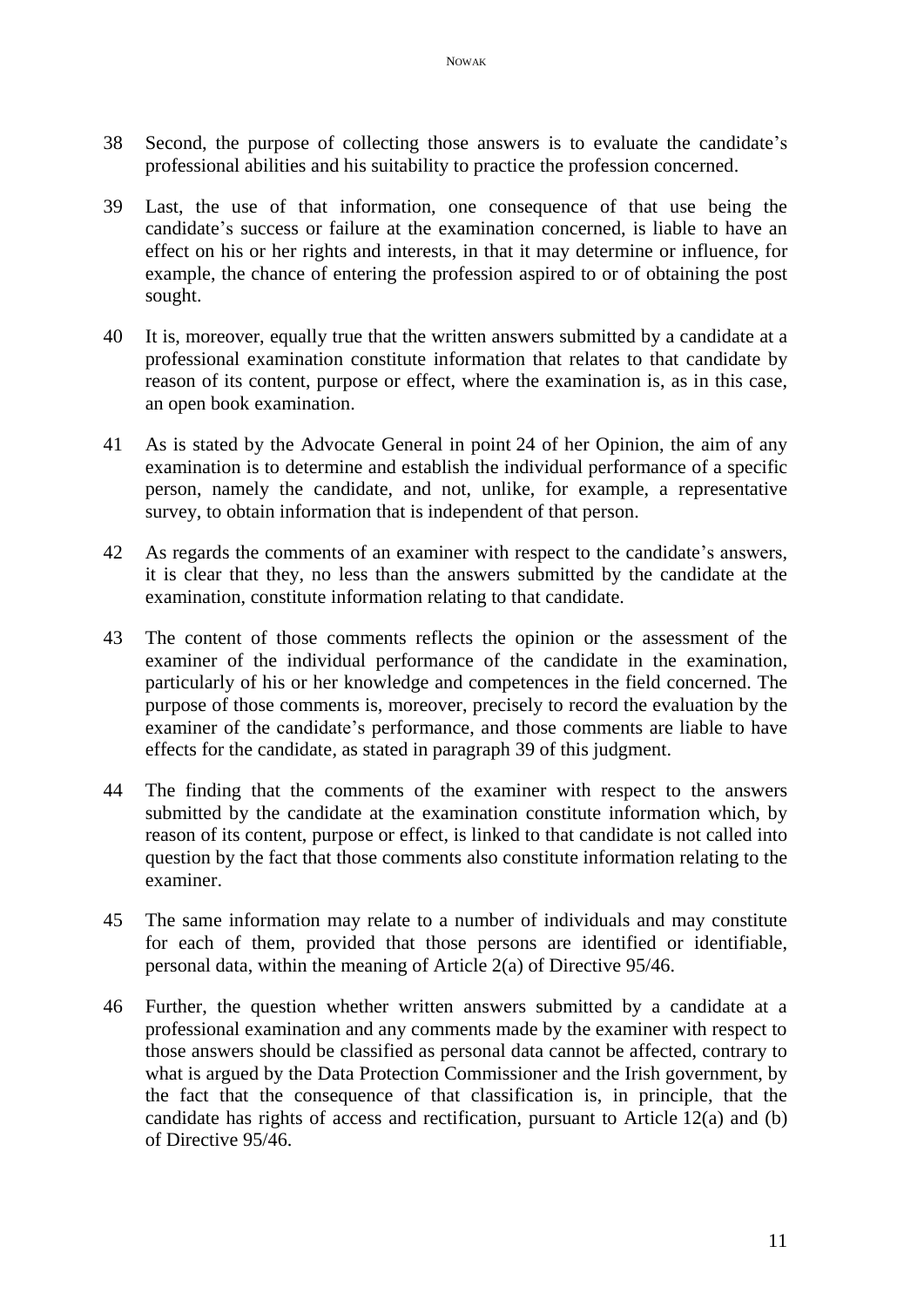- 38 Second, the purpose of collecting those answers is to evaluate the candidate's professional abilities and his suitability to practice the profession concerned.
- 39 Last, the use of that information, one consequence of that use being the candidate's success or failure at the examination concerned, is liable to have an effect on his or her rights and interests, in that it may determine or influence, for example, the chance of entering the profession aspired to or of obtaining the post sought.
- 40 It is, moreover, equally true that the written answers submitted by a candidate at a professional examination constitute information that relates to that candidate by reason of its content, purpose or effect, where the examination is, as in this case, an open book examination.
- 41 As is stated by the Advocate General in point 24 of her Opinion, the aim of any examination is to determine and establish the individual performance of a specific person, namely the candidate, and not, unlike, for example, a representative survey, to obtain information that is independent of that person.
- 42 As regards the comments of an examiner with respect to the candidate's answers, it is clear that they, no less than the answers submitted by the candidate at the examination, constitute information relating to that candidate.
- 43 The content of those comments reflects the opinion or the assessment of the examiner of the individual performance of the candidate in the examination, particularly of his or her knowledge and competences in the field concerned. The purpose of those comments is, moreover, precisely to record the evaluation by the examiner of the candidate's performance, and those comments are liable to have effects for the candidate, as stated in paragraph 39 of this judgment.
- 44 The finding that the comments of the examiner with respect to the answers submitted by the candidate at the examination constitute information which, by reason of its content, purpose or effect, is linked to that candidate is not called into question by the fact that those comments also constitute information relating to the examiner.
- 45 The same information may relate to a number of individuals and may constitute for each of them, provided that those persons are identified or identifiable, personal data, within the meaning of Article 2(a) of Directive 95/46.
- 46 Further, the question whether written answers submitted by a candidate at a professional examination and any comments made by the examiner with respect to those answers should be classified as personal data cannot be affected, contrary to what is argued by the Data Protection Commissioner and the Irish government, by the fact that the consequence of that classification is, in principle, that the candidate has rights of access and rectification, pursuant to Article 12(a) and (b) of Directive 95/46.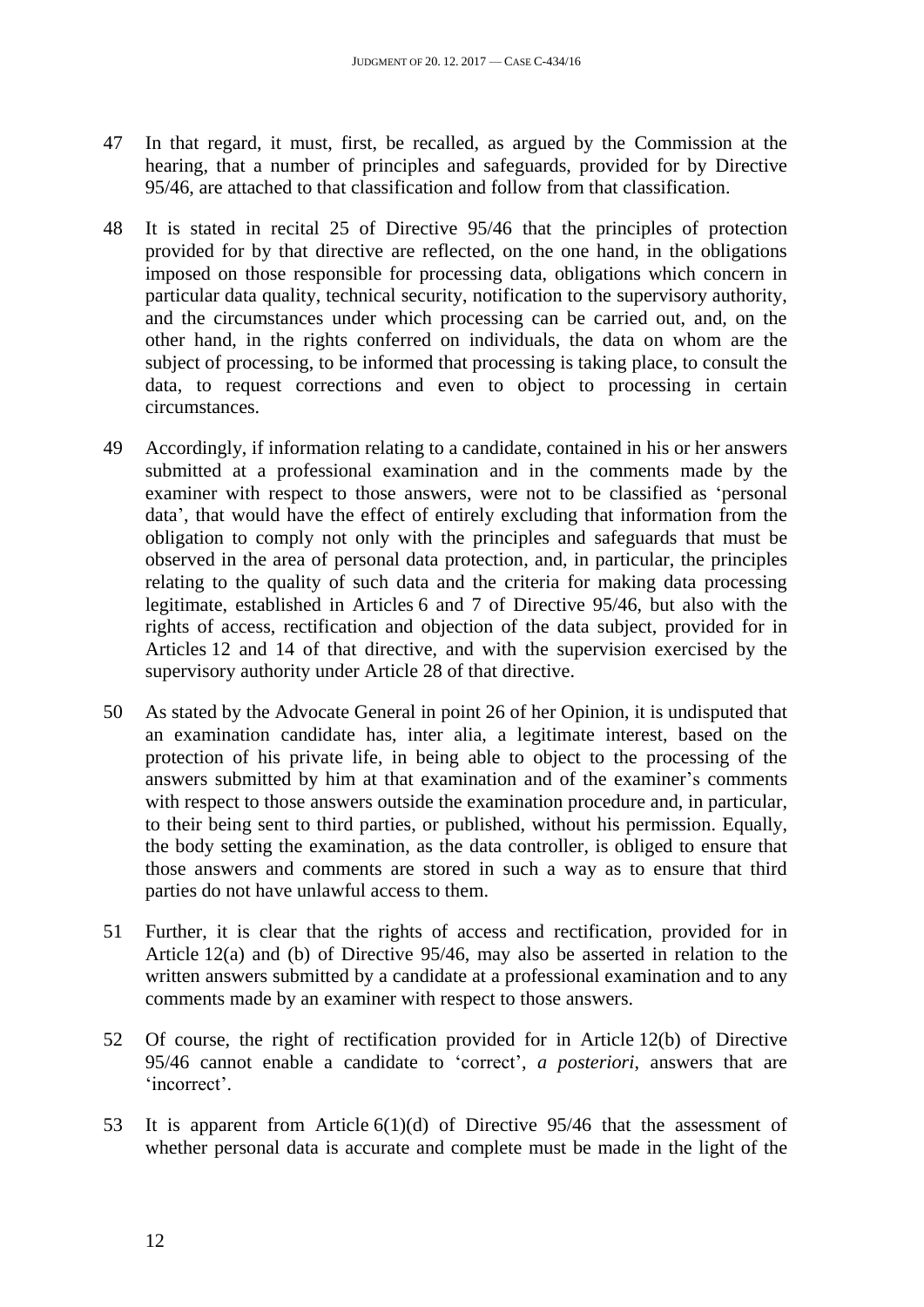- 47 In that regard, it must, first, be recalled, as argued by the Commission at the hearing, that a number of principles and safeguards, provided for by Directive 95/46, are attached to that classification and follow from that classification.
- 48 It is stated in recital 25 of Directive 95/46 that the principles of protection provided for by that directive are reflected, on the one hand, in the obligations imposed on those responsible for processing data, obligations which concern in particular data quality, technical security, notification to the supervisory authority, and the circumstances under which processing can be carried out, and, on the other hand, in the rights conferred on individuals, the data on whom are the subject of processing, to be informed that processing is taking place, to consult the data, to request corrections and even to object to processing in certain circumstances.
- 49 Accordingly, if information relating to a candidate, contained in his or her answers submitted at a professional examination and in the comments made by the examiner with respect to those answers, were not to be classified as 'personal data', that would have the effect of entirely excluding that information from the obligation to comply not only with the principles and safeguards that must be observed in the area of personal data protection, and, in particular, the principles relating to the quality of such data and the criteria for making data processing legitimate, established in Articles 6 and 7 of Directive 95/46, but also with the rights of access, rectification and objection of the data subject, provided for in Articles 12 and 14 of that directive, and with the supervision exercised by the supervisory authority under Article 28 of that directive.
- 50 As stated by the Advocate General in point 26 of her Opinion, it is undisputed that an examination candidate has, inter alia, a legitimate interest, based on the protection of his private life, in being able to object to the processing of the answers submitted by him at that examination and of the examiner's comments with respect to those answers outside the examination procedure and, in particular, to their being sent to third parties, or published, without his permission. Equally, the body setting the examination, as the data controller, is obliged to ensure that those answers and comments are stored in such a way as to ensure that third parties do not have unlawful access to them.
- 51 Further, it is clear that the rights of access and rectification, provided for in Article 12(a) and (b) of Directive 95/46, may also be asserted in relation to the written answers submitted by a candidate at a professional examination and to any comments made by an examiner with respect to those answers.
- 52 Of course, the right of rectification provided for in Article 12(b) of Directive 95/46 cannot enable a candidate to 'correct', *a posteriori*, answers that are 'incorrect'.
- 53 It is apparent from Article 6(1)(d) of Directive 95/46 that the assessment of whether personal data is accurate and complete must be made in the light of the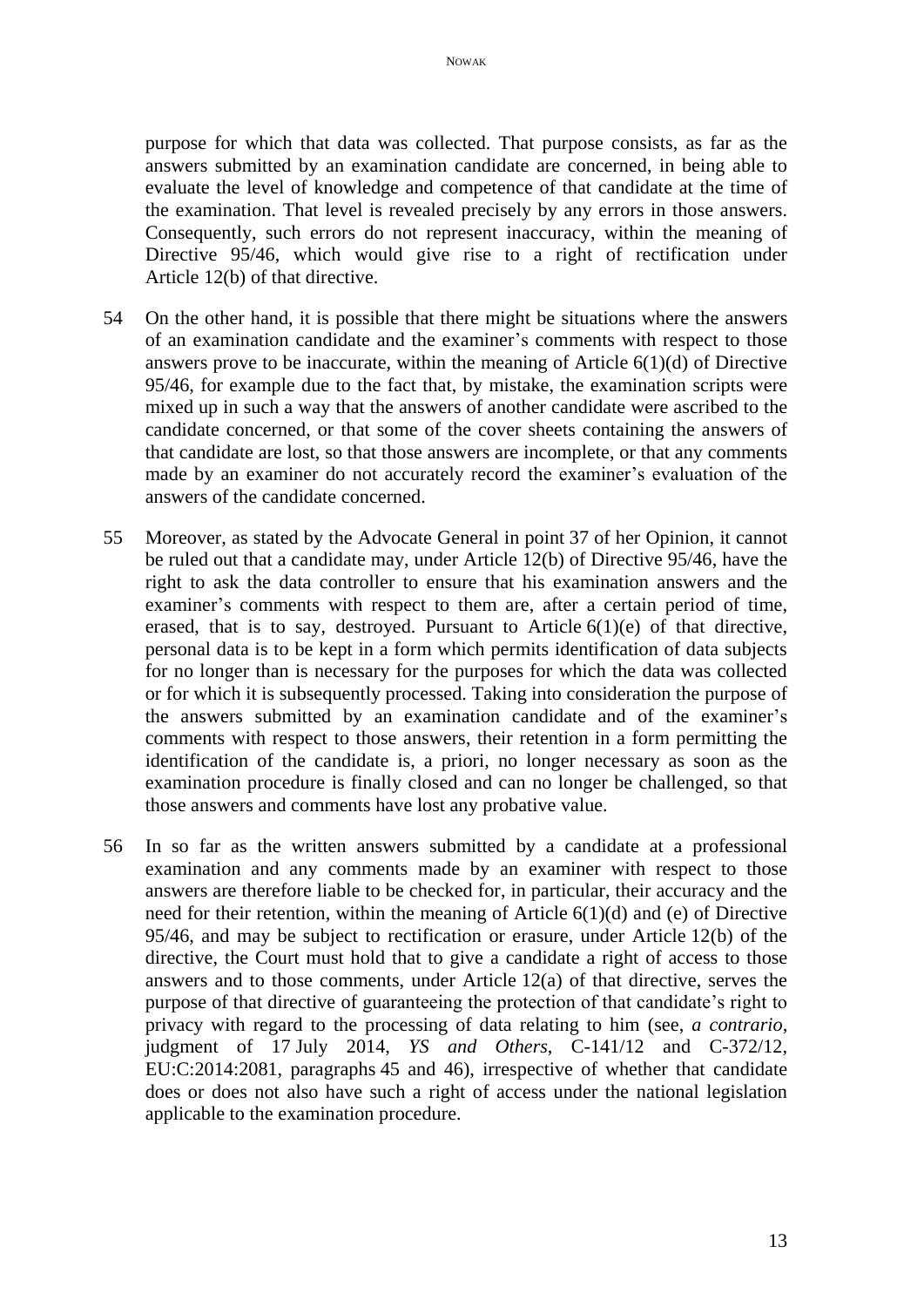purpose for which that data was collected. That purpose consists, as far as the answers submitted by an examination candidate are concerned, in being able to evaluate the level of knowledge and competence of that candidate at the time of the examination. That level is revealed precisely by any errors in those answers. Consequently, such errors do not represent inaccuracy, within the meaning of Directive 95/46, which would give rise to a right of rectification under Article 12(b) of that directive.

- 54 On the other hand, it is possible that there might be situations where the answers of an examination candidate and the examiner's comments with respect to those answers prove to be inaccurate, within the meaning of Article  $6(1)(d)$  of Directive 95/46, for example due to the fact that, by mistake, the examination scripts were mixed up in such a way that the answers of another candidate were ascribed to the candidate concerned, or that some of the cover sheets containing the answers of that candidate are lost, so that those answers are incomplete, or that any comments made by an examiner do not accurately record the examiner's evaluation of the answers of the candidate concerned.
- 55 Moreover, as stated by the Advocate General in point 37 of her Opinion, it cannot be ruled out that a candidate may, under Article 12(b) of Directive 95/46, have the right to ask the data controller to ensure that his examination answers and the examiner's comments with respect to them are, after a certain period of time, erased, that is to say, destroyed. Pursuant to Article  $6(1)(e)$  of that directive, personal data is to be kept in a form which permits identification of data subjects for no longer than is necessary for the purposes for which the data was collected or for which it is subsequently processed. Taking into consideration the purpose of the answers submitted by an examination candidate and of the examiner's comments with respect to those answers, their retention in a form permitting the identification of the candidate is, a priori, no longer necessary as soon as the examination procedure is finally closed and can no longer be challenged, so that those answers and comments have lost any probative value.
- 56 In so far as the written answers submitted by a candidate at a professional examination and any comments made by an examiner with respect to those answers are therefore liable to be checked for, in particular, their accuracy and the need for their retention, within the meaning of Article  $6(1)(d)$  and (e) of Directive 95/46, and may be subject to rectification or erasure, under Article 12(b) of the directive, the Court must hold that to give a candidate a right of access to those answers and to those comments, under Article 12(a) of that directive, serves the purpose of that directive of guaranteeing the protection of that candidate's right to privacy with regard to the processing of data relating to him (see, *a contrario*, judgment of 17 July 2014, *YS and Others*, C-141/12 and C-372/12, EU:C:2014:2081, paragraphs 45 and 46), irrespective of whether that candidate does or does not also have such a right of access under the national legislation applicable to the examination procedure.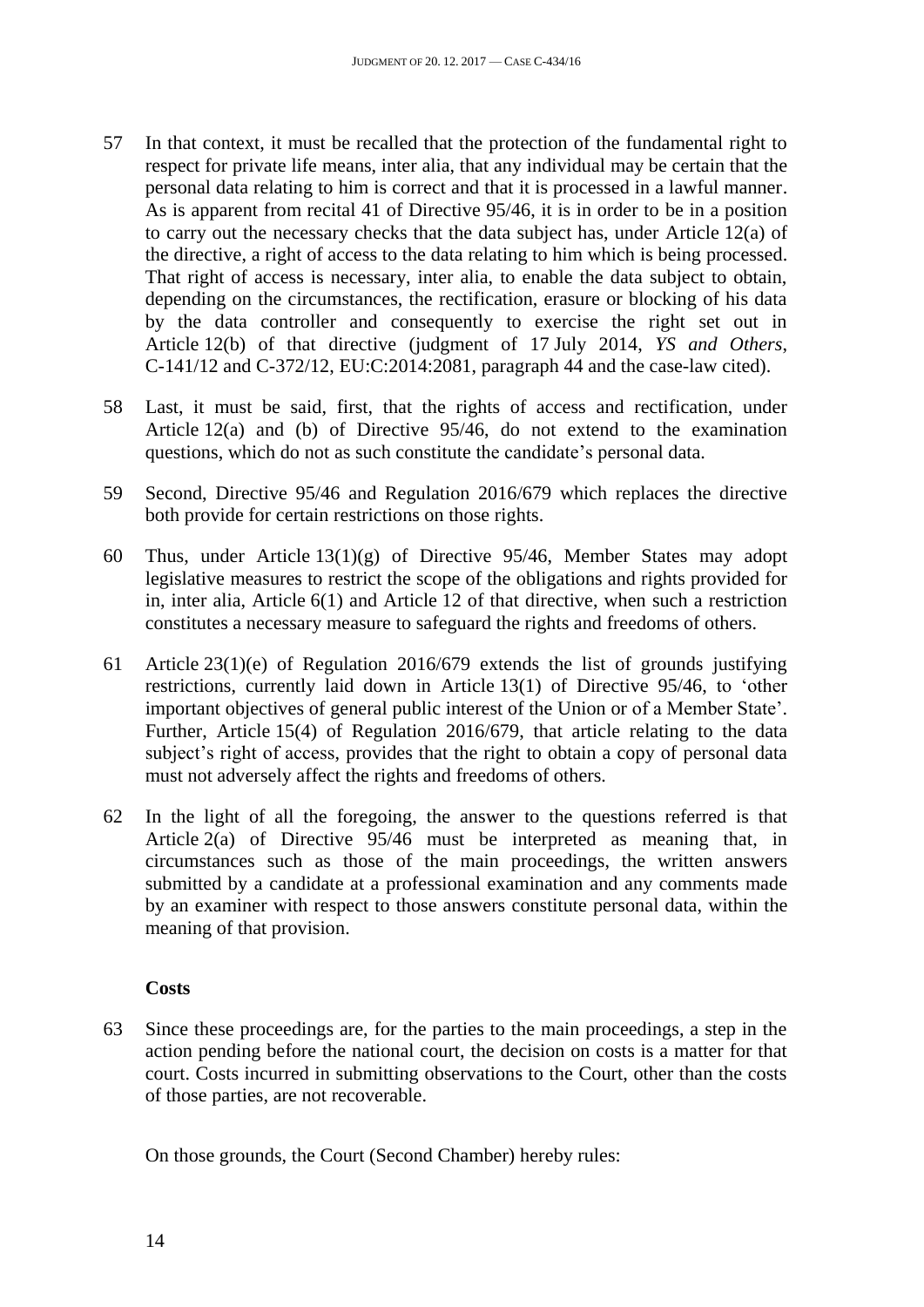- 57 In that context, it must be recalled that the protection of the fundamental right to respect for private life means, inter alia, that any individual may be certain that the personal data relating to him is correct and that it is processed in a lawful manner. As is apparent from recital 41 of Directive 95/46, it is in order to be in a position to carry out the necessary checks that the data subject has, under Article 12(a) of the directive, a right of access to the data relating to him which is being processed. That right of access is necessary, inter alia, to enable the data subject to obtain, depending on the circumstances, the rectification, erasure or blocking of his data by the data controller and consequently to exercise the right set out in Article 12(b) of that directive (judgment of 17 July 2014, *YS and Others*, C-141/12 and C-372/12, EU:C:2014:2081, paragraph 44 and the case-law cited).
- 58 Last, it must be said, first, that the rights of access and rectification, under Article 12(a) and (b) of Directive 95/46, do not extend to the examination questions, which do not as such constitute the candidate's personal data.
- 59 Second, Directive 95/46 and Regulation 2016/679 which replaces the directive both provide for certain restrictions on those rights.
- 60 Thus, under Article 13(1)(g) of Directive 95/46, Member States may adopt legislative measures to restrict the scope of the obligations and rights provided for in, inter alia, Article 6(1) and Article 12 of that directive, when such a restriction constitutes a necessary measure to safeguard the rights and freedoms of others.
- 61 Article 23(1)(e) of Regulation 2016/679 extends the list of grounds justifying restrictions, currently laid down in Article 13(1) of Directive 95/46, to 'other important objectives of general public interest of the Union or of a Member State'. Further, Article 15(4) of Regulation 2016/679, that article relating to the data subject's right of access, provides that the right to obtain a copy of personal data must not adversely affect the rights and freedoms of others.
- 62 In the light of all the foregoing, the answer to the questions referred is that Article 2(a) of Directive 95/46 must be interpreted as meaning that, in circumstances such as those of the main proceedings, the written answers submitted by a candidate at a professional examination and any comments made by an examiner with respect to those answers constitute personal data, within the meaning of that provision.

### **Costs**

63 Since these proceedings are, for the parties to the main proceedings, a step in the action pending before the national court, the decision on costs is a matter for that court. Costs incurred in submitting observations to the Court, other than the costs of those parties, are not recoverable.

On those grounds, the Court (Second Chamber) hereby rules: